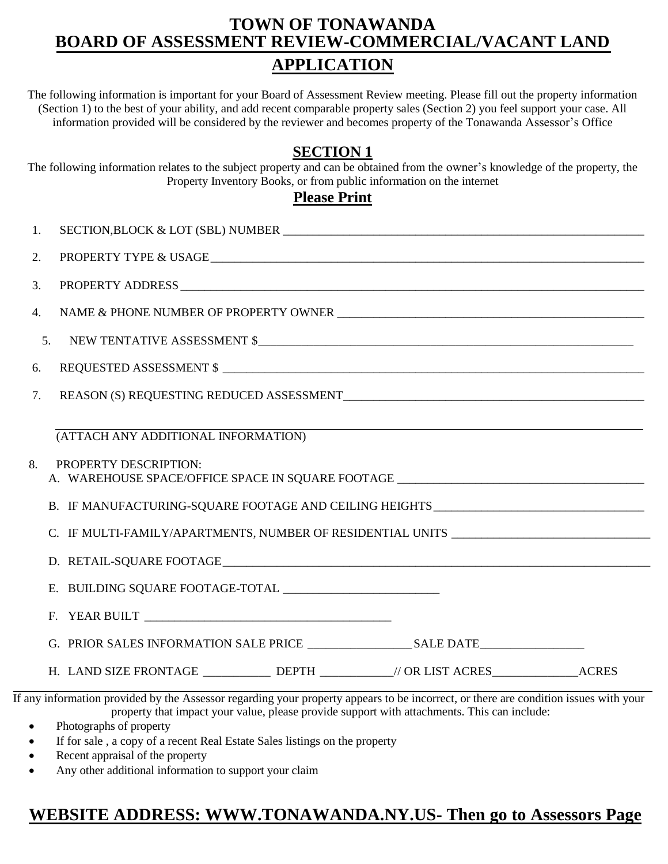## **TOWN OF TONAWANDA BOARD OF ASSESSMENT REVIEW-COMMERCIAL/VACANT LAND APPLICATION**

The following information is important for your Board of Assessment Review meeting. Please fill out the property information (Section 1) to the best of your ability, and add recent comparable property sales (Section 2) you feel support your case. All information provided will be considered by the reviewer and becomes property of the Tonawanda Assessor's Office

## **SECTION 1**

The following information relates to the subject property and can be obtained from the owner's knowledge of the property, the Property Inventory Books, or from public information on the internet

### **Please Print**

| SECTION, BLOCK & LOT (SBL) NUMBER<br>1.                                                                                                                                                                                             |
|-------------------------------------------------------------------------------------------------------------------------------------------------------------------------------------------------------------------------------------|
| 2.                                                                                                                                                                                                                                  |
| 3.                                                                                                                                                                                                                                  |
| 4.                                                                                                                                                                                                                                  |
| 5.                                                                                                                                                                                                                                  |
| 6.                                                                                                                                                                                                                                  |
| 7.                                                                                                                                                                                                                                  |
| (ATTACH ANY ADDITIONAL INFORMATION)                                                                                                                                                                                                 |
| PROPERTY DESCRIPTION:<br>8.<br>A. WAREHOUSE SPACE/OFFICE SPACE IN SQUARE FOOTAGE ______________________________                                                                                                                     |
| B. IF MANUFACTURING-SQUARE FOOTAGE AND CEILING HEIGHTS__________________________                                                                                                                                                    |
| C. IF MULTI-FAMILY/APARTMENTS, NUMBER OF RESIDENTIAL UNITS ______________________                                                                                                                                                   |
|                                                                                                                                                                                                                                     |
|                                                                                                                                                                                                                                     |
|                                                                                                                                                                                                                                     |
|                                                                                                                                                                                                                                     |
| H. LAND SIZE FRONTAGE ____________ DEPTH __________// OR LIST ACRES_____________ACRES                                                                                                                                               |
| If any information provided by the Assessor regarding your property appears to be incorrect, or there are condition issues with your<br>property that impact your value, please provide support with attachments. This can include: |

- Photographs of property
- If for sale , a copy of a recent Real Estate Sales listings on the property
- Recent appraisal of the property
- Any other additional information to support your claim

# **WEBSITE ADDRESS: WWW.TONAWANDA.NY.US- Then go to Assessors Page**